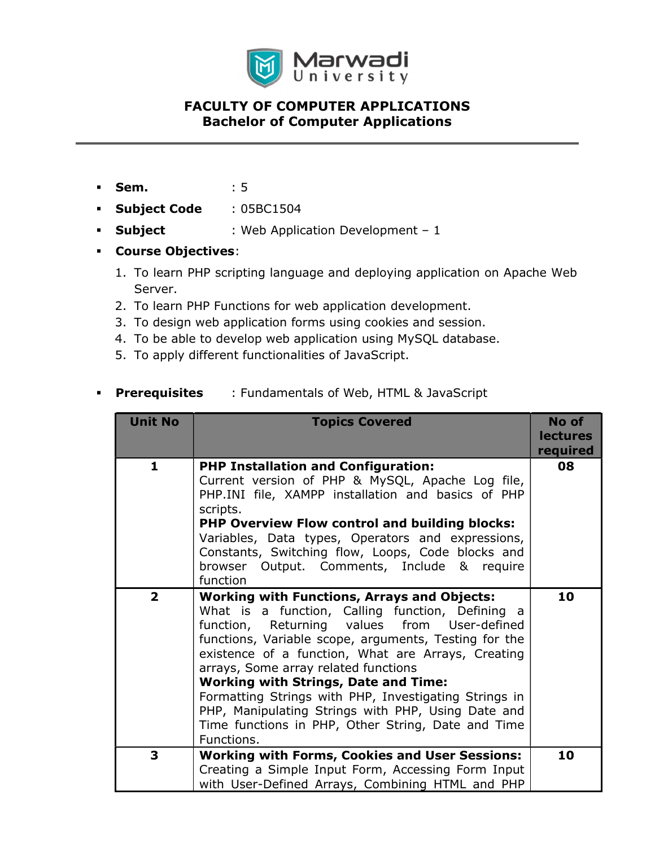

- **Sem.** : 5
- **Subject Code** : 05BC1504
- **Subject** : Web Application Development 1
- Course Objectives:
	- 1. To learn PHP scripting language and deploying application on Apache Web Server.
	- 2. To learn PHP Functions for web application development.
	- 3. To design web application forms using cookies and session.
	- 4. To be able to develop web application using MySQL database.
	- 5. To apply different functionalities of JavaScript.

#### **Prerequisites** : Fundamentals of Web, HTML & JavaScript

| <b>Unit No</b> | <b>Topics Covered</b>                                                                                                                                                                                                                                                                                                                                                                                                                                                                                                                           | No of<br><b>lectures</b><br>required |
|----------------|-------------------------------------------------------------------------------------------------------------------------------------------------------------------------------------------------------------------------------------------------------------------------------------------------------------------------------------------------------------------------------------------------------------------------------------------------------------------------------------------------------------------------------------------------|--------------------------------------|
| $\mathbf{1}$   | <b>PHP Installation and Configuration:</b><br>Current version of PHP & MySQL, Apache Log file,<br>PHP.INI file, XAMPP installation and basics of PHP<br>scripts.<br><b>PHP Overview Flow control and building blocks:</b><br>Variables, Data types, Operators and expressions,<br>Constants, Switching flow, Loops, Code blocks and<br>browser Output. Comments, Include & require<br>function                                                                                                                                                  | 08                                   |
| $\overline{2}$ | <b>Working with Functions, Arrays and Objects:</b><br>What is a function, Calling function, Defining a<br>function, Returning values from User-defined<br>functions, Variable scope, arguments, Testing for the<br>existence of a function, What are Arrays, Creating<br>arrays, Some array related functions<br><b>Working with Strings, Date and Time:</b><br>Formatting Strings with PHP, Investigating Strings in<br>PHP, Manipulating Strings with PHP, Using Date and<br>Time functions in PHP, Other String, Date and Time<br>Functions. | 10                                   |
| 3              | <b>Working with Forms, Cookies and User Sessions:</b><br>Creating a Simple Input Form, Accessing Form Input<br>with User-Defined Arrays, Combining HTML and PHP                                                                                                                                                                                                                                                                                                                                                                                 | 10                                   |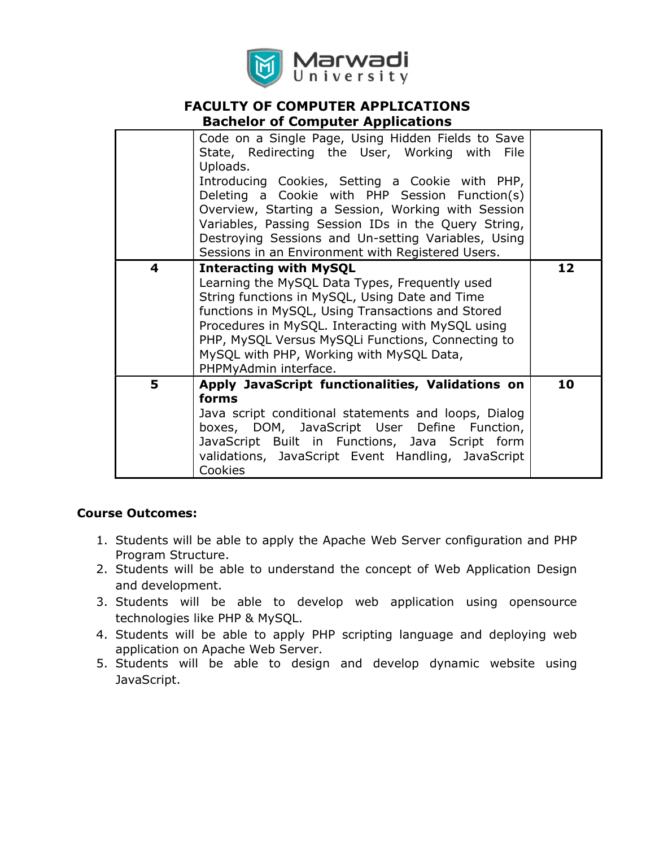

|   | Pachelor of compater Applications                                                                                                                                                                                                                                                                                                                                                                                                              |    |
|---|------------------------------------------------------------------------------------------------------------------------------------------------------------------------------------------------------------------------------------------------------------------------------------------------------------------------------------------------------------------------------------------------------------------------------------------------|----|
|   | Code on a Single Page, Using Hidden Fields to Save<br>State, Redirecting the User, Working with File<br>Uploads.<br>Introducing Cookies, Setting a Cookie with PHP,<br>Deleting a Cookie with PHP Session Function(s)<br>Overview, Starting a Session, Working with Session<br>Variables, Passing Session IDs in the Query String,<br>Destroying Sessions and Un-setting Variables, Using<br>Sessions in an Environment with Registered Users. |    |
| 4 | <b>Interacting with MySQL</b><br>Learning the MySQL Data Types, Frequently used<br>String functions in MySQL, Using Date and Time<br>functions in MySQL, Using Transactions and Stored<br>Procedures in MySQL. Interacting with MySQL using<br>PHP, MySQL Versus MySQLi Functions, Connecting to<br>MySQL with PHP, Working with MySQL Data,<br>PHPMyAdmin interface.                                                                          | 12 |
| 5 | Apply JavaScript functionalities, Validations on<br>forms<br>Java script conditional statements and loops, Dialog<br>boxes, DOM, JavaScript User Define Function,<br>JavaScript Built in Functions, Java Script form<br>validations, JavaScript Event Handling, JavaScript<br>Cookies                                                                                                                                                          | 10 |

#### Course Outcomes:

- 1. Students will be able to apply the Apache Web Server configuration and PHP Program Structure.
- 2. Students will be able to understand the concept of Web Application Design and development.
- 3. Students will be able to develop web application using opensource technologies like PHP & MySQL.
- 4. Students will be able to apply PHP scripting language and deploying web application on Apache Web Server.
- 5. Students will be able to design and develop dynamic website using JavaScript.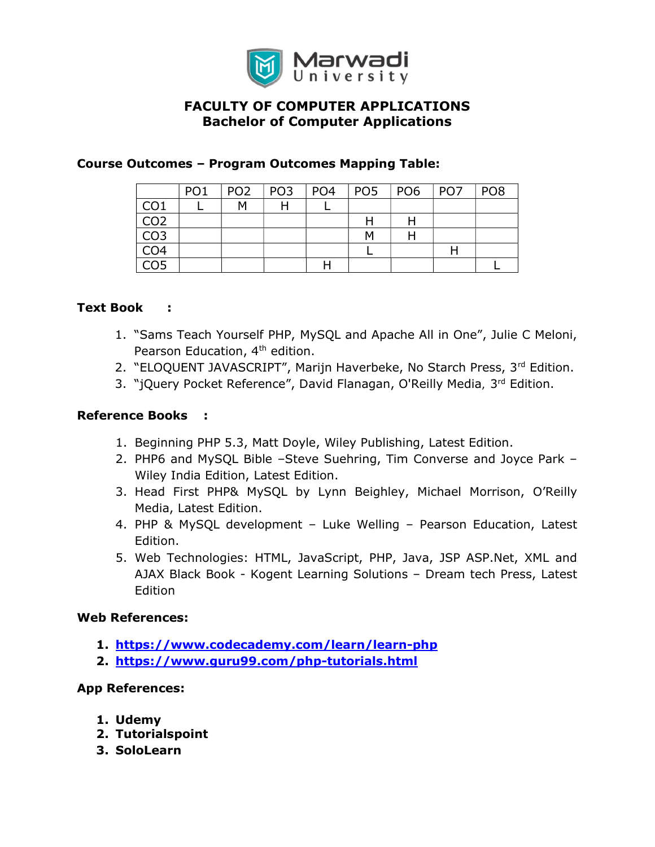

### Course Outcomes – Program Outcomes Mapping Table:

|                 | PO <sub>1</sub> | PO <sub>2</sub> | $ $ PO3 | $ $ PO4 | POS POS | PO <sub>7</sub> | PO <sub>8</sub> |
|-----------------|-----------------|-----------------|---------|---------|---------|-----------------|-----------------|
| CO <sub>1</sub> |                 | M               | H       |         |         |                 |                 |
| CO <sub>2</sub> |                 |                 |         |         |         |                 |                 |
| CO <sub>3</sub> |                 |                 |         |         | м       |                 |                 |
| CO <sub>4</sub> |                 |                 |         |         |         | Н               |                 |
| CO <sub>5</sub> |                 |                 |         |         |         |                 |                 |

#### Text Book :

- 1. "Sams Teach Yourself PHP, MySQL and Apache All in One", Julie C Meloni, Pearson Education, 4<sup>th</sup> edition.
- 2. "ELOQUENT JAVASCRIPT", Marijn Haverbeke, No Starch Press, 3rd Edition.
- 3. "jQuery Pocket Reference", David Flanagan, O'Reilly Media, 3<sup>rd</sup> Edition.

#### Reference Books :

- 1. Beginning PHP 5.3, Matt Doyle, Wiley Publishing, Latest Edition.
- 2. PHP6 and MySQL Bible –Steve Suehring, Tim Converse and Joyce Park Wiley India Edition, Latest Edition.
- 3. Head First PHP& MySQL by Lynn Beighley, Michael Morrison, O'Reilly Media, Latest Edition.
- 4. PHP & MySQL development Luke Welling Pearson Education, Latest Edition.
- 5. Web Technologies: HTML, JavaScript, PHP, Java, JSP ASP.Net, XML and AJAX Black Book - Kogent Learning Solutions – Dream tech Press, Latest Edition

#### Web References:

- 1. https://www.codecademy.com/learn/learn-php
- 2. https://www.guru99.com/php-tutorials.html

#### App References:

- 1. Udemy
- 2. Tutorialspoint
- 3. SoloLearn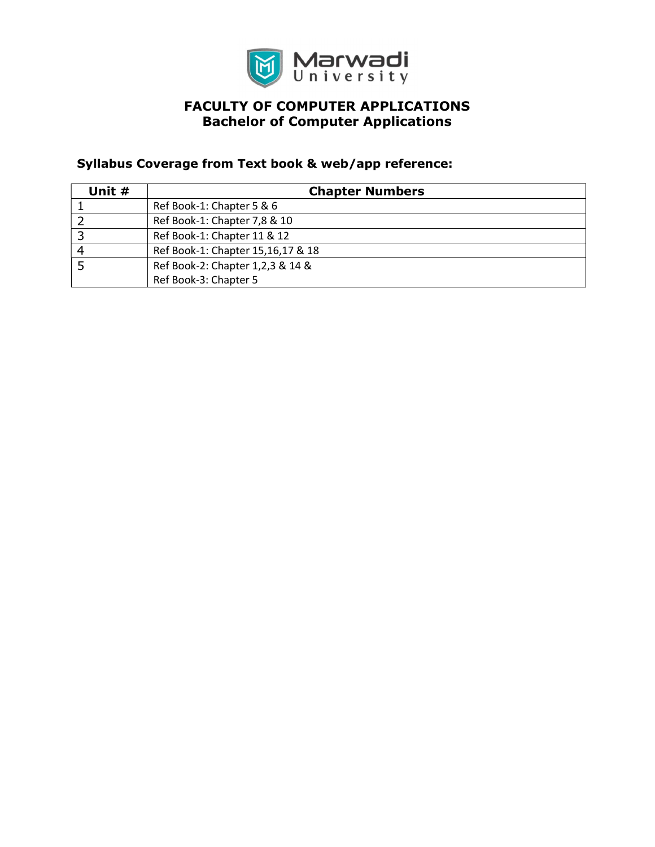

## Syllabus Coverage from Text book & web/app reference:

| Unit # | <b>Chapter Numbers</b>            |  |  |
|--------|-----------------------------------|--|--|
|        | Ref Book-1: Chapter 5 & 6         |  |  |
|        | Ref Book-1: Chapter 7,8 & 10      |  |  |
| 2      | Ref Book-1: Chapter 11 & 12       |  |  |
|        | Ref Book-1: Chapter 15,16,17 & 18 |  |  |
|        | Ref Book-2: Chapter 1,2,3 & 14 &  |  |  |
|        | Ref Book-3: Chapter 5             |  |  |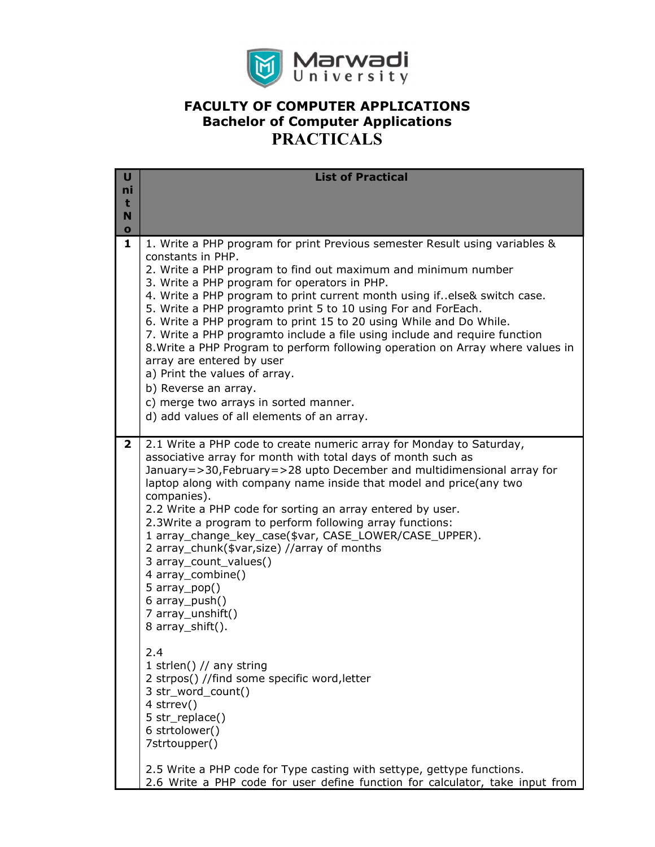

| U<br>ni<br>t<br>N<br>$\mathbf o$ | <b>List of Practical</b>                                                                                                                                                                                                                                                                                                                                                                                                                                                                                                                                                                                                                                                                                                                                                                                                                                                                                                      |
|----------------------------------|-------------------------------------------------------------------------------------------------------------------------------------------------------------------------------------------------------------------------------------------------------------------------------------------------------------------------------------------------------------------------------------------------------------------------------------------------------------------------------------------------------------------------------------------------------------------------------------------------------------------------------------------------------------------------------------------------------------------------------------------------------------------------------------------------------------------------------------------------------------------------------------------------------------------------------|
| 1                                | 1. Write a PHP program for print Previous semester Result using variables &<br>constants in PHP.<br>2. Write a PHP program to find out maximum and minimum number<br>3. Write a PHP program for operators in PHP.<br>4. Write a PHP program to print current month using if. else& switch case.<br>5. Write a PHP programto print 5 to 10 using For and ForEach.<br>6. Write a PHP program to print 15 to 20 using While and Do While.<br>7. Write a PHP programto include a file using include and require function<br>8. Write a PHP Program to perform following operation on Array where values in<br>array are entered by user<br>a) Print the values of array.<br>b) Reverse an array.<br>c) merge two arrays in sorted manner.<br>d) add values of all elements of an array.                                                                                                                                           |
| $\mathbf{2}$                     | 2.1 Write a PHP code to create numeric array for Monday to Saturday,<br>associative array for month with total days of month such as<br>January=>30, February=>28 upto December and multidimensional array for<br>laptop along with company name inside that model and price(any two<br>companies).<br>2.2 Write a PHP code for sorting an array entered by user.<br>2.3Write a program to perform following array functions:<br>1 array_change_key_case(\$var, CASE_LOWER/CASE_UPPER).<br>2 array_chunk(\$var,size) //array of months<br>3 array_count_values()<br>4 array_combine()<br>5 $array\_pop()$<br>6 array_push()<br>7 array_unshift()<br>8 array_shift().<br>2.4<br>1 strlen() $//$ any string<br>2 strpos() //find some specific word, letter<br>3 str_word_count()<br>4 strrev()<br>5 str_replace()<br>6 strtolower()<br>7strtoupper()<br>2.5 Write a PHP code for Type casting with settype, gettype functions. |
|                                  | 2.6 Write a PHP code for user define function for calculator, take input from                                                                                                                                                                                                                                                                                                                                                                                                                                                                                                                                                                                                                                                                                                                                                                                                                                                 |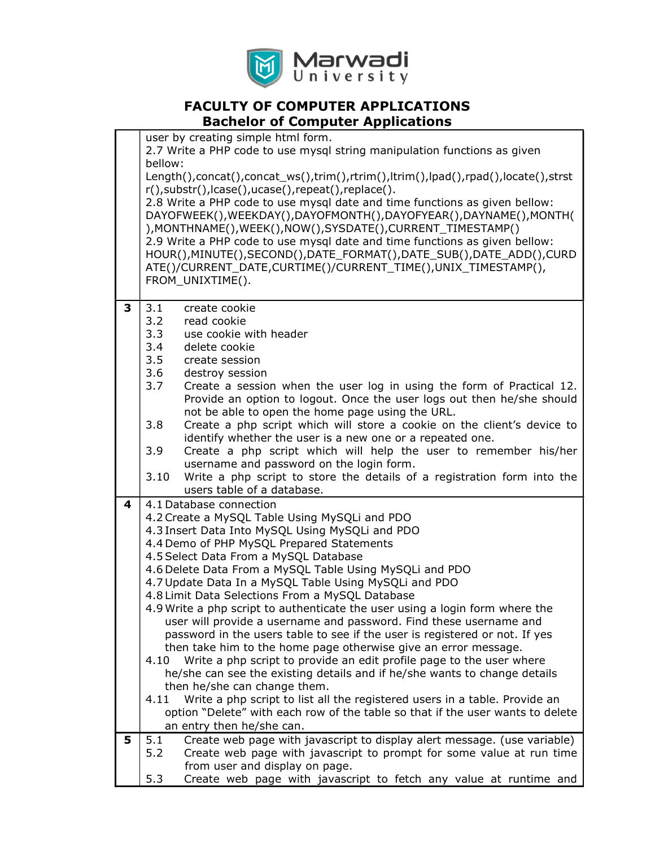

|   | user by creating simple html form.<br>2.7 Write a PHP code to use mysql string manipulation functions as given<br>bellow:<br>Length(),concat(),concat_ws(),trim(),rtrim(),ltrim(),lpad(),rpad(),locate(),strst<br>r(), substr(), lcase(), ucase(), repeat(), replace().<br>2.8 Write a PHP code to use mysql date and time functions as given bellow:<br>DAYOFWEEK(), WEEKDAY(), DAYOFMONTH(), DAYOFYEAR(), DAYNAME(), MONTH(<br>), MONTHNAME(), WEEK(), NOW(), SYSDATE(), CURRENT_TIMESTAMP()<br>2.9 Write a PHP code to use mysgl date and time functions as given bellow:<br>HOUR(), MINUTE(), SECOND(), DATE_FORMAT(), DATE_SUB(), DATE_ADD(), CURD<br>ATE()/CURRENT DATE, CURTIME()/CURRENT TIME(), UNIX TIMESTAMP(),<br>FROM_UNIXTIME().                                                                                                                                                                                                                                                                                                                                                     |
|---|----------------------------------------------------------------------------------------------------------------------------------------------------------------------------------------------------------------------------------------------------------------------------------------------------------------------------------------------------------------------------------------------------------------------------------------------------------------------------------------------------------------------------------------------------------------------------------------------------------------------------------------------------------------------------------------------------------------------------------------------------------------------------------------------------------------------------------------------------------------------------------------------------------------------------------------------------------------------------------------------------------------------------------------------------------------------------------------------------|
| 3 | 3.1<br>create cookie<br>3.2<br>read cookie<br>3.3<br>use cookie with header<br>3.4<br>delete cookie<br>3.5<br>create session<br>3.6<br>destroy session<br>3.7<br>Create a session when the user log in using the form of Practical 12.<br>Provide an option to logout. Once the user logs out then he/she should<br>not be able to open the home page using the URL.<br>Create a php script which will store a cookie on the client's device to<br>3.8<br>identify whether the user is a new one or a repeated one.<br>3.9<br>Create a php script which will help the user to remember his/her<br>username and password on the login form.<br>Write a php script to store the details of a registration form into the<br>3.10<br>users table of a database.                                                                                                                                                                                                                                                                                                                                        |
| 4 | 4.1 Database connection<br>4.2 Create a MySQL Table Using MySQLi and PDO<br>4.3 Insert Data Into MySQL Using MySQLi and PDO<br>4.4 Demo of PHP MySQL Prepared Statements<br>4.5 Select Data From a MySQL Database<br>4.6 Delete Data From a MySQL Table Using MySQLi and PDO<br>4.7 Update Data In a MySQL Table Using MySQLi and PDO<br>4.8 Limit Data Selections From a MySQL Database<br>4.9 Write a php script to authenticate the user using a login form where the<br>user will provide a username and password. Find these username and<br>password in the users table to see if the user is registered or not. If yes<br>then take him to the home page otherwise give an error message.<br>Write a php script to provide an edit profile page to the user where<br>4.10<br>he/she can see the existing details and if he/she wants to change details<br>then he/she can change them.<br>Write a php script to list all the registered users in a table. Provide an<br>4.11<br>option "Delete" with each row of the table so that if the user wants to delete<br>an entry then he/she can. |
| 5 | Create web page with javascript to display alert message. (use variable)<br>5.1<br>5.2<br>Create web page with javascript to prompt for some value at run time<br>from user and display on page.<br>5.3<br>Create web page with javascript to fetch any value at runtime and                                                                                                                                                                                                                                                                                                                                                                                                                                                                                                                                                                                                                                                                                                                                                                                                                       |